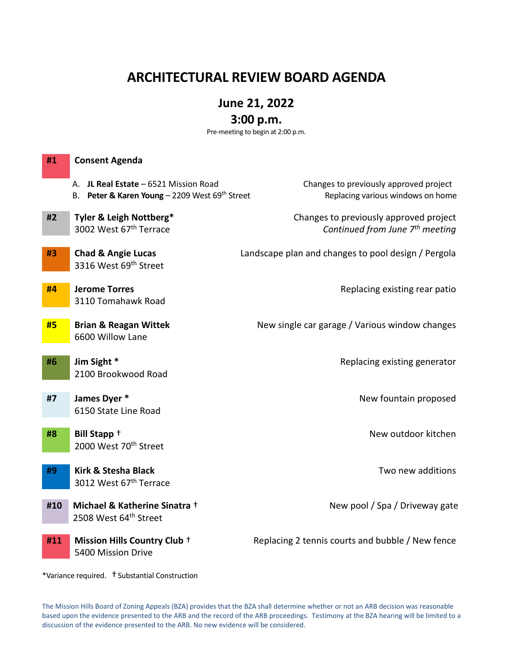# **ARCHITECTURAL REVIEW BOARD AGENDA**

# **June 21, 2022**

# **3:00 p.m.**

Pre-meeting to begin at 2:00 p.m.

| #1  | <b>Consent Agenda</b>                                                                   |                                                                                       |
|-----|-----------------------------------------------------------------------------------------|---------------------------------------------------------------------------------------|
|     | A. JL Real Estate - 6521 Mission Road<br>B. Peter & Karen Young - 2209 West 69th Street | Changes to previously approved project<br>Replacing various windows on home           |
| #2  | Tyler & Leigh Nottberg*<br>3002 West 67th Terrace                                       | Changes to previously approved project<br>Continued from June 7 <sup>th</sup> meeting |
| #3  | <b>Chad &amp; Angie Lucas</b><br>3316 West 69 <sup>th</sup> Street                      | Landscape plan and changes to pool design / Pergola                                   |
| #4  | <b>Jerome Torres</b><br>3110 Tomahawk Road                                              | Replacing existing rear patio                                                         |
| #5  | <b>Brian &amp; Reagan Wittek</b><br>6600 Willow Lane                                    | New single car garage / Various window changes                                        |
| #6  | Jim Sight *<br>2100 Brookwood Road                                                      | Replacing existing generator                                                          |
| #7  | James Dyer *<br>6150 State Line Road                                                    | New fountain proposed                                                                 |
| #8  | Bill Stapp +<br>2000 West 70 <sup>th</sup> Street                                       | New outdoor kitchen                                                                   |
| #9  | <b>Kirk &amp; Stesha Black</b><br>3012 West 67th Terrace                                | Two new additions                                                                     |
| #10 | Michael & Katherine Sinatra +<br>2508 West 64 <sup>th</sup> Street                      | New pool / Spa / Driveway gate                                                        |
| #11 | Mission Hills Country Club +<br>5400 Mission Drive                                      | Replacing 2 tennis courts and bubble / New fence                                      |

\*Variance required. †Substantial Construction

The Mission Hills Board of Zoning Appeals (BZA) provides that the BZA shall determine whether or not an ARB decision was reasonable based upon the evidence presented to the ARB and the record of the ARB proceedings. Testimony at the BZA hearing will be limited to a discussion of the evidence presented to the ARB. No new evidence will be considered.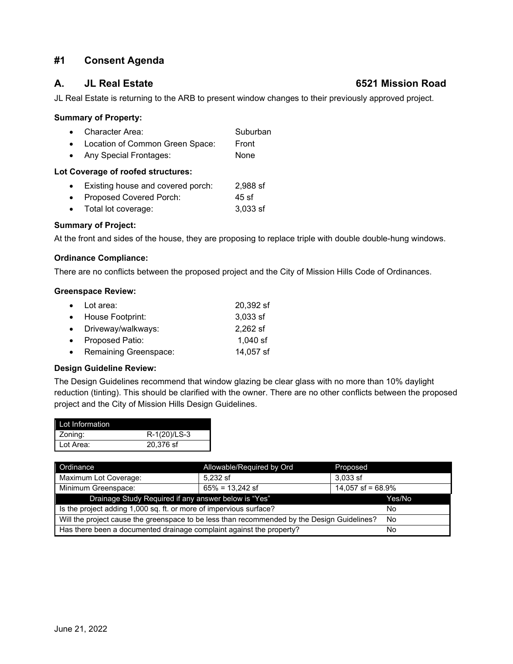## **#1 Consent Agenda**

## **A. JL Real Estate 6521 Mission Road**

JL Real Estate is returning to the ARB to present window changes to their previously approved project.

## **Summary of Property:**

- Character Area: Suburban
- Location of Common Green Space: Front
- Any Special Frontages: None

## **Lot Coverage of roofed structures:**

- Existing house and covered porch: 2,988 sf
- Proposed Covered Porch: 45 sf
- Total lot coverage: 3,033 sf

## **Summary of Project:**

At the front and sides of the house, they are proposing to replace triple with double double-hung windows.

## **Ordinance Compliance:**

There are no conflicts between the proposed project and the City of Mission Hills Code of Ordinances.

## **Greenspace Review:**

| $\bullet$ Lot area:     | 20,392 sf  |
|-------------------------|------------|
| • House Footprint:      | $3,033$ sf |
| • Driveway/walkways:    | 2,262 sf   |
| • Proposed Patio:       | $1,040$ sf |
| • Remaining Greenspace: | 14,057 sf  |

## **Design Guideline Review:**

The Design Guidelines recommend that window glazing be clear glass with no more than 10% daylight reduction (tinting). This should be clarified with the owner. There are no other conflicts between the proposed project and the City of Mission Hills Design Guidelines.

| Lot Information |              |
|-----------------|--------------|
| Zoning:         | R-1(20)/LS-3 |
| Lot Area:       | 20,376 sf    |

| Ordinance                                                                                         | Allowable/Required by Ord | Proposed             |
|---------------------------------------------------------------------------------------------------|---------------------------|----------------------|
| Maximum Lot Coverage:                                                                             | 5.232 sf                  | $3.033$ sf           |
| Minimum Greenspace:                                                                               | $65\% = 13,242$ sf        | 14,057 sf = $68.9\%$ |
| Drainage Study Required if any answer below is "Yes"                                              | Yes/No                    |                      |
| Is the project adding 1,000 sq. ft. or more of impervious surface?                                | Nο                        |                      |
| Will the project cause the greenspace to be less than recommended by the Design Guidelines?<br>No |                           |                      |
| Has there been a documented drainage complaint against the property?                              | No                        |                      |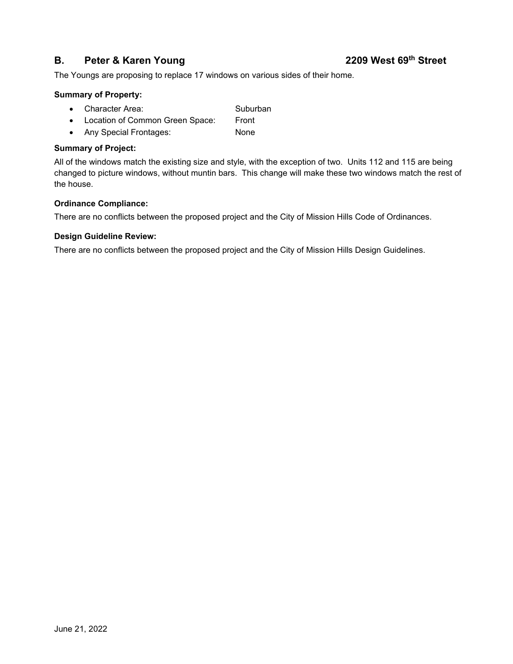## **B. Peter & Karen Young 2209 West 69th Street**

The Youngs are proposing to replace 17 windows on various sides of their home.

## **Summary of Property:**

- Character Area: Suburban
- Location of Common Green Space: Front
- Any Special Frontages: None

## **Summary of Project:**

All of the windows match the existing size and style, with the exception of two. Units 112 and 115 are being changed to picture windows, without muntin bars. This change will make these two windows match the rest of the house.

## **Ordinance Compliance:**

There are no conflicts between the proposed project and the City of Mission Hills Code of Ordinances.

## **Design Guideline Review:**

There are no conflicts between the proposed project and the City of Mission Hills Design Guidelines.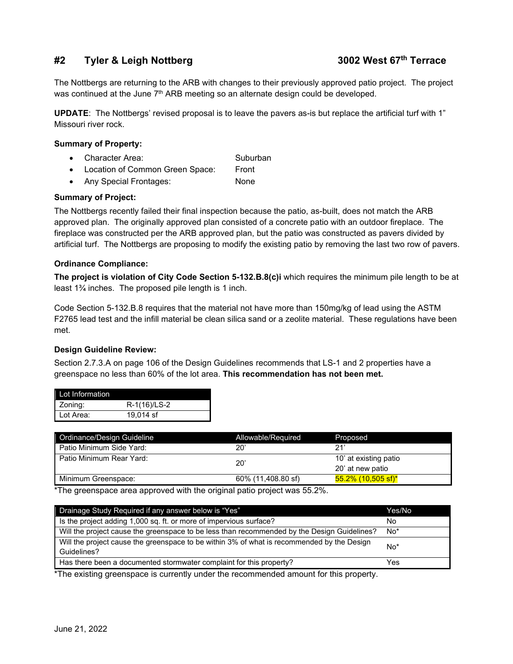## **#2 Tyler & Leigh Nottberg 3002 West 67th Terrace**

The Nottbergs are returning to the ARB with changes to their previously approved patio project. The project was continued at the June 7<sup>th</sup> ARB meeting so an alternate design could be developed.

**UPDATE**: The Nottbergs' revised proposal is to leave the pavers as-is but replace the artificial turf with 1" Missouri river rock.

## **Summary of Property:**

- Character Area: Suburban
- Location of Common Green Space: Front
- Any Special Frontages: None

## **Summary of Project:**

The Nottbergs recently failed their final inspection because the patio, as-built, does not match the ARB approved plan. The originally approved plan consisted of a concrete patio with an outdoor fireplace. The fireplace was constructed per the ARB approved plan, but the patio was constructed as pavers divided by artificial turf. The Nottbergs are proposing to modify the existing patio by removing the last two row of pavers.

## **Ordinance Compliance:**

**The project is violation of City Code Section 5-132.B.8(c)i** which requires the minimum pile length to be at least 1¾ inches. The proposed pile length is 1 inch.

Code Section 5-132.B.8 requires that the material not have more than 150mg/kg of lead using the ASTM F2765 lead test and the infill material be clean silica sand or a zeolite material. These regulations have been met.

## **Design Guideline Review:**

Section 2.7.3.A on page 106 of the Design Guidelines recommends that LS-1 and 2 properties have a greenspace no less than 60% of the lot area. **This recommendation has not been met.**

| Lot Information |              |
|-----------------|--------------|
| Zoning:         | R-1(16)/LS-2 |
| Lot Area:       | 19.014 sf    |

| Ordinance/Design Guideline      | Allowable/Required | Proposed                  |
|---------------------------------|--------------------|---------------------------|
| <b>Patio Minimum Side Yard:</b> | 20'                | つ1'                       |
| Patio Minimum Rear Yard:        | $20^{\circ}$       | 10' at existing patio     |
|                                 |                    | 20' at new patio          |
| Minimum Greenspace:             | 60% (11,408.80 sf) | <u>55.2% (10,505 sf)*</u> |

\*The greenspace area approved with the original patio project was 55.2%.

| Drainage Study Required if any answer below is "Yes"                                        | Yes/No |
|---------------------------------------------------------------------------------------------|--------|
| Is the project adding 1,000 sq. ft. or more of impervious surface?                          | No     |
| Will the project cause the greenspace to be less than recommended by the Design Guidelines? | $No*$  |
| Will the project cause the greenspace to be within 3% of what is recommended by the Design  | No*    |
| Guidelines?                                                                                 |        |
| Has there been a documented stormwater complaint for this property?                         | Yes    |

\*The existing greenspace is currently under the recommended amount for this property.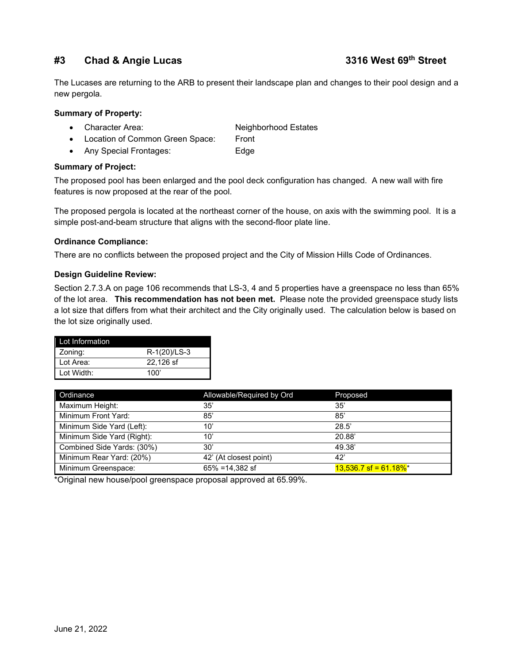## **#3 Chad & Angie Lucas 3316 West 69th Street**

The Lucases are returning to the ARB to present their landscape plan and changes to their pool design and a new pergola.

## **Summary of Property:**

- Character Area: Neighborhood Estates
- Location of Common Green Space: Front
- Any Special Frontages: Edge

## **Summary of Project:**

The proposed pool has been enlarged and the pool deck configuration has changed. A new wall with fire features is now proposed at the rear of the pool.

The proposed pergola is located at the northeast corner of the house, on axis with the swimming pool. It is a simple post-and-beam structure that aligns with the second-floor plate line.

## **Ordinance Compliance:**

There are no conflicts between the proposed project and the City of Mission Hills Code of Ordinances.

## **Design Guideline Review:**

Section 2.7.3.A on page 106 recommends that LS-3, 4 and 5 properties have a greenspace no less than 65% of the lot area. **This recommendation has not been met.** Please note the provided greenspace study lists a lot size that differs from what their architect and the City originally used. The calculation below is based on the lot size originally used.

| Lot Information |              |
|-----------------|--------------|
| Zoning:         | R-1(20)/LS-3 |
| Lot Area:       | 22.126 sf    |
| Lot Width:      | 100'         |

| Ordinance                  | Allowable/Required by Ord | Proposed                            |
|----------------------------|---------------------------|-------------------------------------|
| Maximum Height:            | 35'                       | 35'                                 |
| Minimum Front Yard:        | 85'                       | 85'                                 |
| Minimum Side Yard (Left):  | 10'                       | 28.5'                               |
| Minimum Side Yard (Right): | 10'                       | 20.88                               |
| Combined Side Yards: (30%) | 30'                       | 49.38'                              |
| Minimum Rear Yard: (20%)   | 42' (At closest point)    | 42'                                 |
| Minimum Greenspace:        | $65\% = 14.382$ sf        | $13.536.7$ sf = 61.18% <sup>*</sup> |

\*Original new house/pool greenspace proposal approved at 65.99%.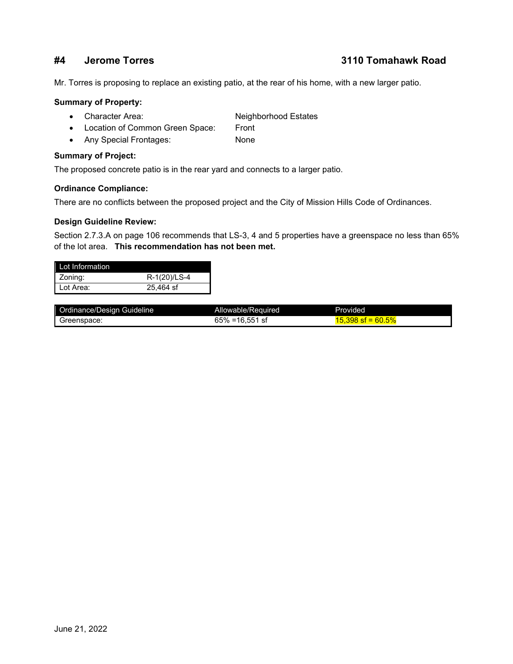## **#4 Jerome Torres 3110 Tomahawk Road**

Mr. Torres is proposing to replace an existing patio, at the rear of his home, with a new larger patio.

## **Summary of Property:**

- Character Area: Neighborhood Estates
- Location of Common Green Space: Front
- Any Special Frontages: None

### **Summary of Project:**

The proposed concrete patio is in the rear yard and connects to a larger patio.

## **Ordinance Compliance:**

There are no conflicts between the proposed project and the City of Mission Hills Code of Ordinances.

## **Design Guideline Review:**

Section 2.7.3.A on page 106 recommends that LS-3, 4 and 5 properties have a greenspace no less than 65% of the lot area. **This recommendation has not been met.**

| I ot Information |              |
|------------------|--------------|
| Zoning:          | R-1(20)/LS-4 |
| Lot Area:        | 25.464 sf    |

| Ordinance/Design Guideline | Allowable/Required | Provided                |
|----------------------------|--------------------|-------------------------|
| Greenspace:                | $65\% = 16.551$ sf | 60.5%<br>.398<br>$st =$ |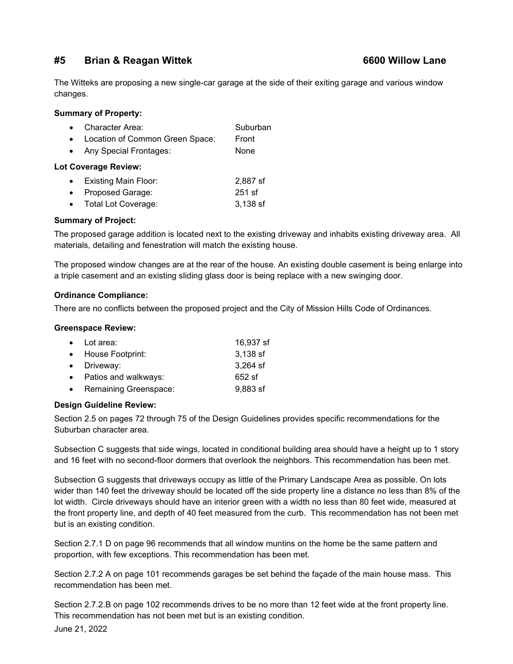## **#5 Brian & Reagan Wittek 6600 Willow Lane**

The Witteks are proposing a new single-car garage at the side of their exiting garage and various window changes.

## **Summary of Property:**

|  | Character Area: | Suburban |
|--|-----------------|----------|
|--|-----------------|----------|

- Location of Common Green Space: Front
- Any Special Frontages: None

## **Lot Coverage Review:**

| <b>Existing Main Floor:</b> | 2,887 sf |
|-----------------------------|----------|
|                             |          |

- Proposed Garage: 251 sf
- Total Lot Coverage: 3,138 sf

## **Summary of Project:**

The proposed garage addition is located next to the existing driveway and inhabits existing driveway area. All materials, detailing and fenestration will match the existing house.

The proposed window changes are at the rear of the house. An existing double casement is being enlarge into a triple casement and an existing sliding glass door is being replace with a new swinging door.

## **Ordinance Compliance:**

There are no conflicts between the proposed project and the City of Mission Hills Code of Ordinances.

## **Greenspace Review:**

| $\bullet$ Lot area:     | 16,937 sf  |
|-------------------------|------------|
| • House Footprint:      | 3,138 sf   |
| • Driveway:             | $3,264$ sf |
| • Patios and walkways:  | 652 sf     |
| • Remaining Greenspace: | $9,883$ sf |

## **Design Guideline Review:**

Section 2.5 on pages 72 through 75 of the Design Guidelines provides specific recommendations for the Suburban character area.

Subsection C suggests that side wings, located in conditional building area should have a height up to 1 story and 16 feet with no second-floor dormers that overlook the neighbors. This recommendation has been met.

Subsection G suggests that driveways occupy as little of the Primary Landscape Area as possible. On lots wider than 140 feet the driveway should be located off the side property line a distance no less than 8% of the lot width. Circle driveways should have an interior green with a width no less than 80 feet wide, measured at the front property line, and depth of 40 feet measured from the curb. This recommendation has not been met but is an existing condition.

Section 2.7.1 D on page 96 recommends that all window muntins on the home be the same pattern and proportion, with few exceptions. This recommendation has been met.

Section 2.7.2 A on page 101 recommends garages be set behind the façade of the main house mass. This recommendation has been met.

Section 2.7.2.B on page 102 recommends drives to be no more than 12 feet wide at the front property line. This recommendation has not been met but is an existing condition.

June 21, 2022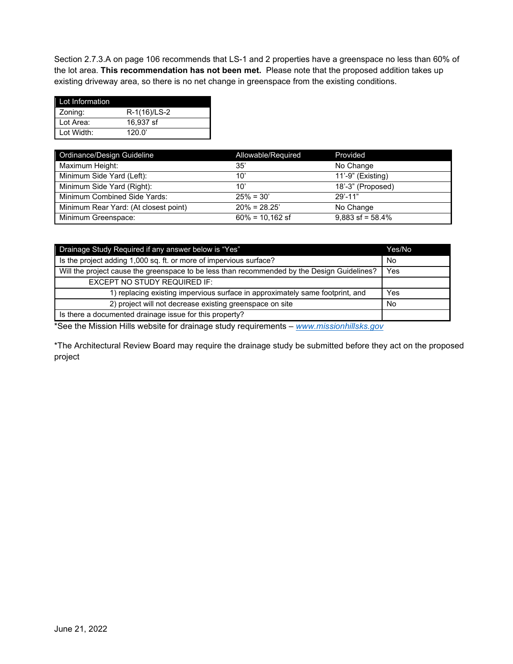Section 2.7.3.A on page 106 recommends that LS-1 and 2 properties have a greenspace no less than 60% of the lot area. **This recommendation has not been met.** Please note that the proposed addition takes up existing driveway area, so there is no net change in greenspace from the existing conditions.

| Lot Information |              |
|-----------------|--------------|
| Zoning:         | R-1(16)/LS-2 |
| Lot Area:       | 16.937 sf    |
| Lot Width:      | 120.0'       |

| Ordinance/Design Guideline            | Allowable/Required | Provided           |
|---------------------------------------|--------------------|--------------------|
| Maximum Height:                       | 35'                | No Change          |
| Minimum Side Yard (Left):             | 10'                | 11'-9" (Existing)  |
| Minimum Side Yard (Right):            | 10'                | 18'-3" (Proposed)  |
| Minimum Combined Side Yards:          | $25\% = 30'$       | $29' - 11"$        |
| Minimum Rear Yard: (At closest point) | $20\% = 28.25'$    | No Change          |
| Minimum Greenspace:                   | $60\% = 10,162$ sf | $9,883$ sf = 58.4% |

| Drainage Study Required if any answer below is "Yes"                                        | Yes/No |
|---------------------------------------------------------------------------------------------|--------|
| Is the project adding 1,000 sq. ft. or more of impervious surface?                          | No     |
| Will the project cause the greenspace to be less than recommended by the Design Guidelines? | Yes    |
| EXCEPT NO STUDY REQUIRED IF:                                                                |        |
| 1) replacing existing impervious surface in approximately same footprint, and               | Yes    |
| 2) project will not decrease existing greenspace on site                                    | No     |
| Is there a documented drainage issue for this property?                                     |        |

\*See the Mission Hills website for drainage study requirements – *[www.missionhillsks.gov](http://www.missionhillsks.gov/)*

\*The Architectural Review Board may require the drainage study be submitted before they act on the proposed project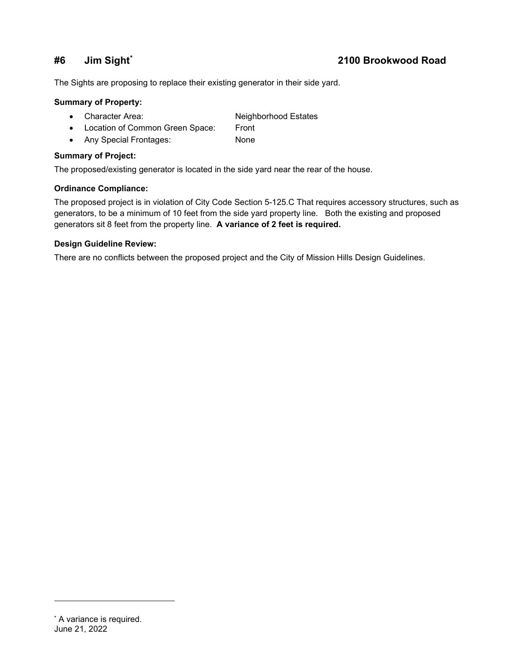## **#6 Jim Sight[\\*](#page-8-0) 2100 Brookwood Road**

The Sights are proposing to replace their existing generator in their side yard.

## **Summary of Property:**

- Character Area: Neighborhood Estates
- Location of Common Green Space: Front
- Any Special Frontages: None

## **Summary of Project:**

The proposed/existing generator is located in the side yard near the rear of the house.

## **Ordinance Compliance:**

The proposed project is in violation of City Code Section 5-125.C That requires accessory structures, such as generators, to be a minimum of 10 feet from the side yard property line. Both the existing and proposed generators sit 8 feet from the property line. **A variance of 2 feet is required.**

## **Design Guideline Review:**

<span id="page-8-0"></span>There are no conflicts between the proposed project and the City of Mission Hills Design Guidelines.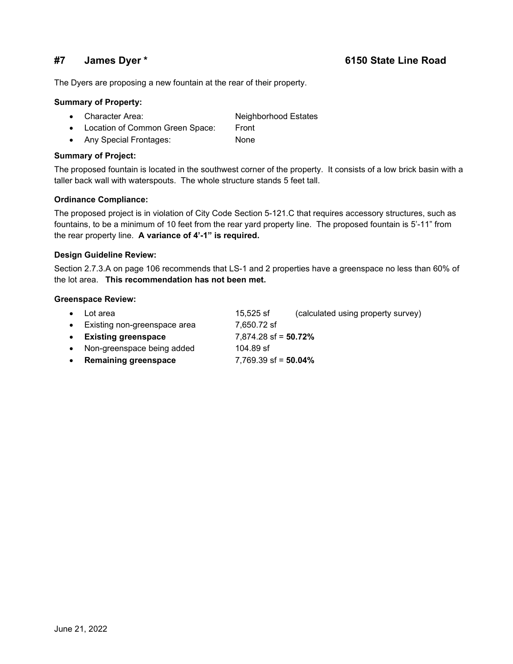## **#7 James Dyer \* 6150 State Line Road**

The Dyers are proposing a new fountain at the rear of their property.

## **Summary of Property:**

- Character Area: Neighborhood Estates
- Location of Common Green Space: Front
- Any Special Frontages: None

### **Summary of Project:**

The proposed fountain is located in the southwest corner of the property. It consists of a low brick basin with a taller back wall with waterspouts. The whole structure stands 5 feet tall.

## **Ordinance Compliance:**

The proposed project is in violation of City Code Section 5-121.C that requires accessory structures, such as fountains, to be a minimum of 10 feet from the rear yard property line. The proposed fountain is 5'-11" from the rear property line. **A variance of 4'-1" is required.**

### **Design Guideline Review:**

Section 2.7.3.A on page 106 recommends that LS-1 and 2 properties have a greenspace no less than 60% of the lot area. **This recommendation has not been met.**

### **Greenspace Review:**

| $\bullet$ | Lot area                       | 15,525 sf               | (calculated using property survey) |
|-----------|--------------------------------|-------------------------|------------------------------------|
|           | • Existing non-greenspace area | 7,650.72 sf             |                                    |
|           | • Existing greenspace          | $7,874.28$ sf = 50.72%  |                                    |
|           | • Non-greenspace being added   | 104.89 sf               |                                    |
| $\bullet$ | <b>Remaining greenspace</b>    | 7,769.39 sf = $50.04\%$ |                                    |
|           |                                |                         |                                    |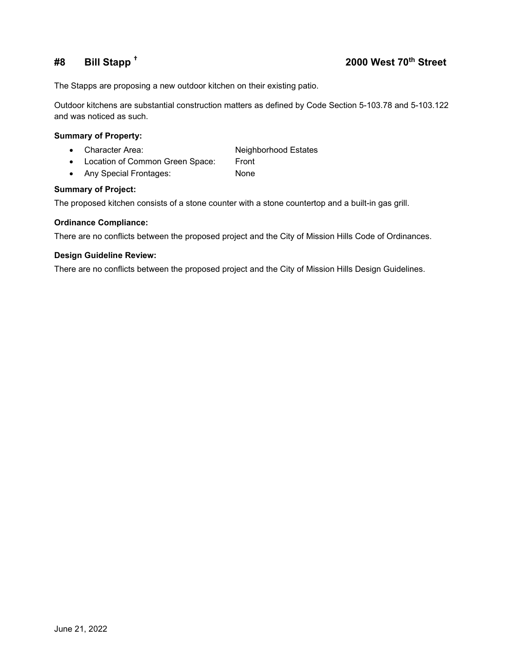## **#8 Bill Stapp † 2000 West 70th Street**

The Stapps are proposing a new outdoor kitchen on their existing patio.

Outdoor kitchens are substantial construction matters as defined by Code Section 5-103.78 and 5-103.122 and was noticed as such.

## **Summary of Property:**

- Character Area: Neighborhood Estates
- Location of Common Green Space: Front
- Any Special Frontages: None

## **Summary of Project:**

The proposed kitchen consists of a stone counter with a stone countertop and a built-in gas grill.

## **Ordinance Compliance:**

There are no conflicts between the proposed project and the City of Mission Hills Code of Ordinances.

## **Design Guideline Review:**

There are no conflicts between the proposed project and the City of Mission Hills Design Guidelines.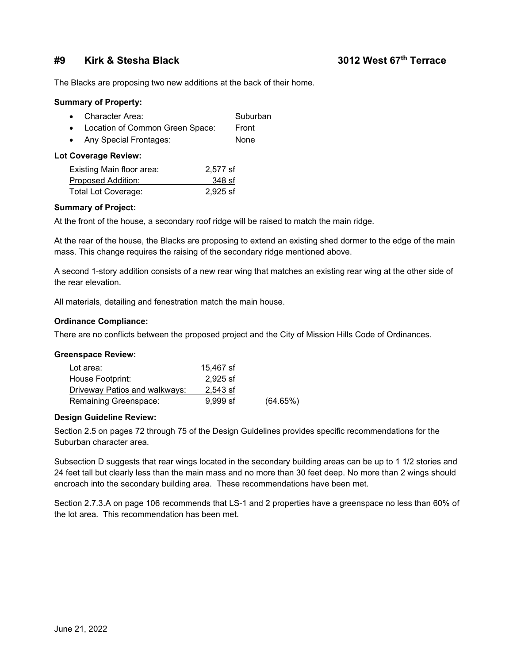## **#9 Kirk & Stesha Black 3012 West 67th Terrace**

The Blacks are proposing two new additions at the back of their home.

### **Summary of Property:**

| Character Area: | Suburban |
|-----------------|----------|
|-----------------|----------|

- Location of Common Green Space: Front
- Any Special Frontages: None

## **Lot Coverage Review:**

| Existing Main floor area:  | 2,577 sf |
|----------------------------|----------|
| Proposed Addition:         | 348 sf   |
| <b>Total Lot Coverage:</b> | 2,925 sf |

## **Summary of Project:**

At the front of the house, a secondary roof ridge will be raised to match the main ridge.

At the rear of the house, the Blacks are proposing to extend an existing shed dormer to the edge of the main mass. This change requires the raising of the secondary ridge mentioned above.

A second 1-story addition consists of a new rear wing that matches an existing rear wing at the other side of the rear elevation.

All materials, detailing and fenestration match the main house.

## **Ordinance Compliance:**

There are no conflicts between the proposed project and the City of Mission Hills Code of Ordinances.

## **Greenspace Review:**

| Lot area:                     | 15.467 sf  |          |
|-------------------------------|------------|----------|
| House Footprint:              | 2.925 sf   |          |
| Driveway Patios and walkways: | 2.543 sf   |          |
| Remaining Greenspace:         | $9.999$ sf | (64.65%) |

## **Design Guideline Review:**

Section 2.5 on pages 72 through 75 of the Design Guidelines provides specific recommendations for the Suburban character area.

Subsection D suggests that rear wings located in the secondary building areas can be up to 1 1/2 stories and 24 feet tall but clearly less than the main mass and no more than 30 feet deep. No more than 2 wings should encroach into the secondary building area. These recommendations have been met.

Section 2.7.3.A on page 106 recommends that LS-1 and 2 properties have a greenspace no less than 60% of the lot area. This recommendation has been met.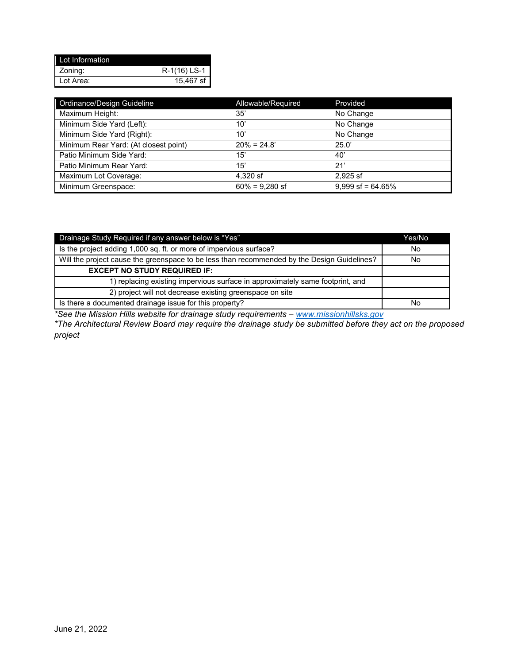| Lot Information |                |
|-----------------|----------------|
| Zoning:         | $R-1(16)$ LS-1 |
| Lot Area:       | 15,467 sf      |

| Ordinance/Design Guideline            | Allowable/Required | Provided            |
|---------------------------------------|--------------------|---------------------|
| Maximum Height:                       | 35'                | No Change           |
| Minimum Side Yard (Left):             | $10^{\circ}$       | No Change           |
| Minimum Side Yard (Right):            | 10'                | No Change           |
| Minimum Rear Yard: (At closest point) | $20\% = 24.8'$     | 25.0'               |
| Patio Minimum Side Yard:              | 15'                | 40'                 |
| Patio Minimum Rear Yard:              | 15'                | 21'                 |
| Maximum Lot Coverage:                 | 4,320 sf           | $2.925$ sf          |
| Minimum Greenspace:                   | $60\% = 9.280$ sf  | $9.999$ sf = 64.65% |

| Drainage Study Required if any answer below is "Yes"                                        | Yes/No |
|---------------------------------------------------------------------------------------------|--------|
| Is the project adding 1,000 sq. ft. or more of impervious surface?                          | No     |
| Will the project cause the greenspace to be less than recommended by the Design Guidelines? | No     |
| <b>EXCEPT NO STUDY REQUIRED IF:</b>                                                         |        |
| 1) replacing existing impervious surface in approximately same footprint, and               |        |
| 2) project will not decrease existing greenspace on site                                    |        |
| Is there a documented drainage issue for this property?                                     | No     |

*\*See the Mission Hills website for drainage study requirements – [www.missionhillsks.gov](http://www.missionhillsks.gov/)*

*\*The Architectural Review Board may require the drainage study be submitted before they act on the proposed project*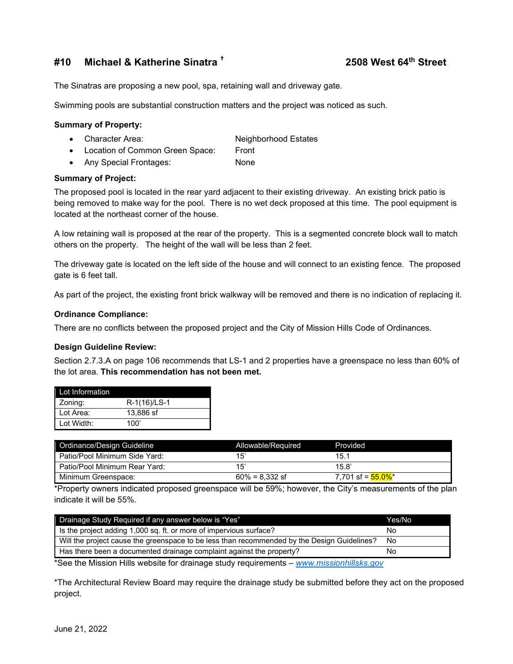## **#10 Michael & Katherine Sinatra † 2508 West 64th Street**

The Sinatras are proposing a new pool, spa, retaining wall and driveway gate.

Swimming pools are substantial construction matters and the project was noticed as such.

### **Summary of Property:**

- Character Area: Neighborhood Estates
- Location of Common Green Space: Front
- Any Special Frontages: None

## **Summary of Project:**

The proposed pool is located in the rear yard adjacent to their existing driveway. An existing brick patio is being removed to make way for the pool. There is no wet deck proposed at this time. The pool equipment is located at the northeast corner of the house.

A low retaining wall is proposed at the rear of the property. This is a segmented concrete block wall to match others on the property. The height of the wall will be less than 2 feet.

The driveway gate is located on the left side of the house and will connect to an existing fence. The proposed gate is 6 feet tall.

As part of the project, the existing front brick walkway will be removed and there is no indication of replacing it.

## **Ordinance Compliance:**

There are no conflicts between the proposed project and the City of Mission Hills Code of Ordinances.

## **Design Guideline Review:**

Section 2.7.3.A on page 106 recommends that LS-1 and 2 properties have a greenspace no less than 60% of the lot area. **This recommendation has not been met.**

| Lot Information |              |
|-----------------|--------------|
| Zoning:         | R-1(16)/LS-1 |
| Lot Area:       | 13,886 sf    |
| Lot Width:      | 100'         |

| Ordinance/Design Guideline    | Allowable/Required | Provided                        |
|-------------------------------|--------------------|---------------------------------|
| Patio/Pool Minimum Side Yard: | 15                 | 15.1                            |
| Patio/Pool Minimum Rear Yard: | 15'                | 15.8'                           |
| Minimum Greenspace:           | $60\% = 8.332$ sf  | 7.701 sf = <mark>55.0%</mark> * |

\*Property owners indicated proposed greenspace will be 59%; however, the City's measurements of the plan indicate it will be 55%.

| Drainage Study Required if any answer below is "Yes"                                        | Yes/No |
|---------------------------------------------------------------------------------------------|--------|
| I is the project adding 1,000 sq. ft. or more of impervious surface?                        | Νo     |
| Will the project cause the greenspace to be less than recommended by the Design Guidelines? | No     |
|                                                                                             | No     |
| Has there been a documented drainage complaint against the property?<br>.<br>.              |        |

\*See the Mission Hills website for drainage study requirements – *[www.missionhillsks.gov](http://www.missionhillsks.gov/)*

\*The Architectural Review Board may require the drainage study be submitted before they act on the proposed project.